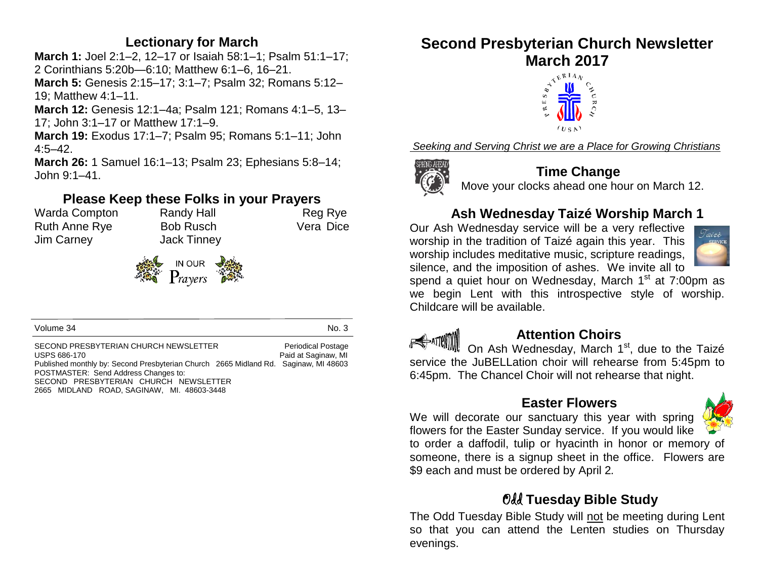#### **Lectionary for March**

**March 1:** Joel 2:1–2, 12–17 or Isaiah 58:1–1; Psalm 51:1–17; 2 Corinthians 5:20b—6:10; Matthew 6:1–6, 16–21.

**March 5:** Genesis 2:15–17; 3:1–7; Psalm 32; Romans 5:12– 19; Matthew 4:1–11.

**March 12:** Genesis 12:1–4a; Psalm 121; Romans 4:1–5, 13– 17; John 3:1–17 or Matthew 17:1–9.

**March 19:** Exodus 17:1–7; Psalm 95; Romans 5:1–11; John 4:5–42.

**March 26:** 1 Samuel 16:1–13; Psalm 23; Ephesians 5:8–14; John 9:1–41.

#### **Please Keep these Folks in your Prayers**

Warda Compton Randy Hall Reg Rye Ruth Anne Rye Bob Rusch Vera Dice Jim Carney Jack Tinney



Volume 34 No. 3

SECOND PRESBYTERIAN CHURCH NEWSLETTER Periodical Postage USPS 686-170 Paid at Saginaw, MI Published monthly by: Second Presbyterian Church 2665 Midland Rd. Saginaw, MI 48603 POSTMASTER: Send Address Changes to: SECOND PRESBYTERIAN CHURCH NEWSLETTER 2665 MIDLAND ROAD, SAGINAW, MI. 48603-3448

# **Second Presbyterian Church Newsletter March 2017**



*Seeking and Serving Christ we are a Place for Growing Christians*



#### **Time Change**

Move your clocks ahead one hour on March 12.

### **Ash Wednesday Taizé Worship March 1**

Our Ash Wednesday service will be a very reflective worship in the tradition of Taizé again this year. This worship includes meditative music, scripture readings, silence, and the imposition of ashes. We invite all to



spend a quiet hour on Wednesday, March  $1<sup>st</sup>$  at 7:00pm as we begin Lent with this introspective style of worship. Childcare will be available.



#### **Attention Choirs**

On Ash Wednesday, March 1<sup>st</sup>, due to the Taizé service the JuBELLation choir will rehearse from 5:45pm to 6:45pm. The Chancel Choir will not rehearse that night.

#### **Easter Flowers**



We will decorate our sanctuary this year with spring flowers for the Easter Sunday service. If you would like to order a daffodil, tulip or hyacinth in honor or memory of someone, there is a signup sheet in the office. Flowers are \$9 each and must be ordered by April 2*.*

#### Odd **Tuesday Bible Study**

The Odd Tuesday Bible Study will not be meeting during Lent so that you can attend the Lenten studies on Thursday evenings.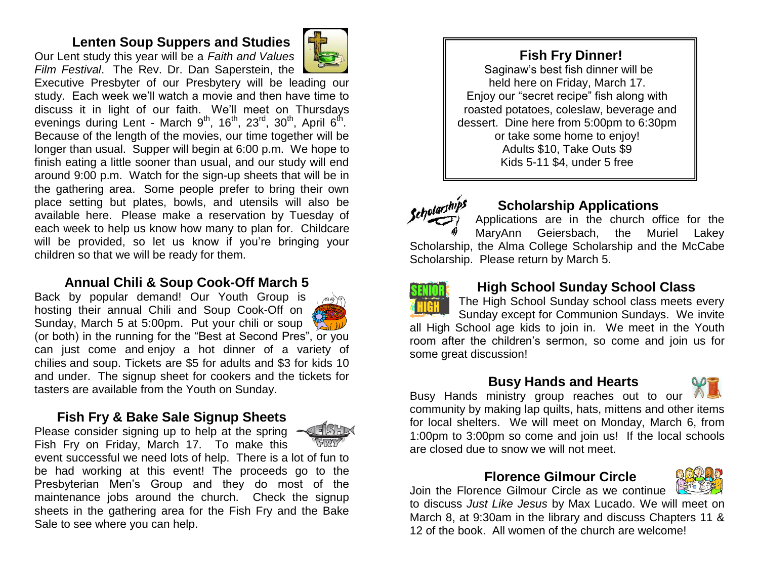#### **Lenten Soup Suppers and Studies**

Our Lent study this year will be a *Faith and Values Film Festival*. The Rev. Dr. Dan Saperstein, the



Executive Presbyter of our Presbytery will be leading our study. Each week we'll watch a movie and then have time to discuss it in light of our faith. We'll meet on Thursdays evenings during Lent - March 9<sup>th</sup>, 16<sup>th</sup>, 23<sup>rd</sup>, 30<sup>th</sup>, April 6<sup>th</sup>. Because of the length of the movies, our time together will be longer than usual. Supper will begin at 6:00 p.m. We hope to finish eating a little sooner than usual, and our study will end around 9:00 p.m. Watch for the sign-up sheets that will be in the gathering area. Some people prefer to bring their own place setting but plates, bowls, and utensils will also be available here. Please make a reservation by Tuesday of each week to help us know how many to plan for. Childcare will be provided, so let us know if you're bringing your children so that we will be ready for them.

#### **Annual Chili & Soup Cook-Off March 5**

Back by popular demand! Our Youth Group is hosting their annual Chili and Soup Cook-Off on Sunday, March 5 at 5:00pm. Put your chili or soup (or both) in the running for the "Best at Second Pres", or you can just come and enjoy a hot dinner of a variety of chilies and soup. Tickets are \$5 for adults and \$3 for kids 10 and under. The signup sheet for cookers and the tickets for tasters are available from the Youth on Sunday.

#### **Fish Fry & Bake Sale Signup Sheets**  Please consider signing up to help at the spring

**FISH** 

Fish Fry on Friday, March 17. To make this event successful we need lots of help. There is a lot of fun to be had working at this event! The proceeds go to the Presbyterian Men's Group and they do most of the maintenance jobs around the church. Check the signup sheets in the gathering area for the Fish Fry and the Bake Sale to see where you can help.

 **Fish Fry Dinner!** Saginaw's best fish dinner will be held here on Friday, March 17. Enjoy our "secret recipe" fish along with roasted potatoes, coleslaw, beverage and dessert. Dine here from 5:00pm to 6:30pm or take some home to enjoy! Adults \$10, Take Outs \$9 Kids 5-11 \$4, under 5 free



#### **Scholarship Applications**

Applications are in the church office for the MaryAnn Geiersbach, the Muriel Lakey Scholarship, the Alma College Scholarship and the McCabe Scholarship. Please return by March 5.



#### **High School Sunday School Class**

The High School Sunday school class meets every Sunday except for Communion Sundays. We invite all High School age kids to join in. We meet in the Youth room after the children's sermon, so come and join us for some great discussion!

#### **Busy Hands and Hearts**

Busy Hands ministry group reaches out to our community by making lap quilts, hats, mittens and other items for local shelters. We will meet on Monday, March 6, from 1:00pm to 3:00pm so come and join us! If the local schools are closed due to snow we will not meet.

#### **Florence Gilmour Circle**

Join the Florence Gilmour Circle as we continue to discuss *Just Like Jesus* by Max Lucado. We will meet on March 8, at 9:30am in the library and discuss Chapters 11 & 12 of the book. All women of the church are welcome!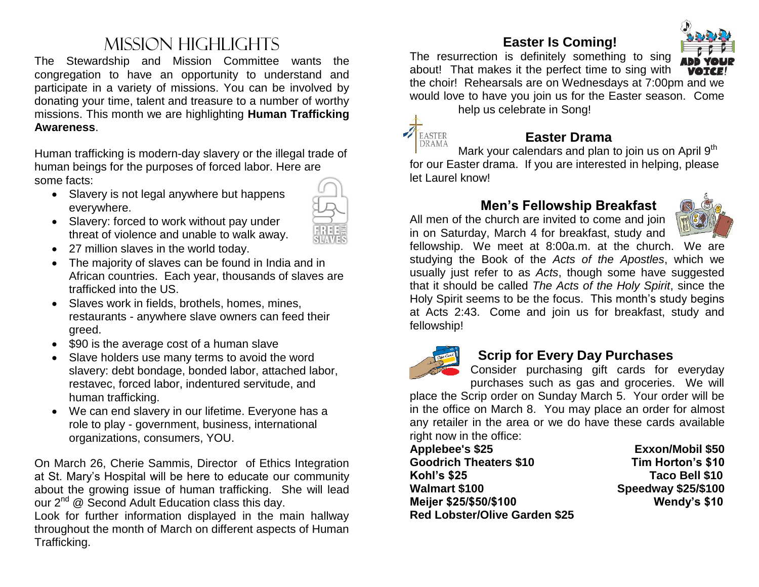## Mission Highlights

The Stewardship and Mission Committee wants the congregation to have an opportunity to understand and participate in a variety of missions. You can be involved by donating your time, talent and treasure to a number of worthy missions. This month we are highlighting **Human Trafficking Awareness**.

Human trafficking is modern-day slavery or the illegal trade of human beings for the purposes of forced labor. Here are some facts:

- Slavery is not legal anywhere but happens everywhere.
- Slavery: forced to work without pay under threat of violence and unable to walk away.
- 27 million slaves in the world today.
- The majority of slaves can be found in India and in African countries. Each year, thousands of slaves are trafficked into the US.
- Slaves work in fields, brothels, homes, mines, restaurants - anywhere slave owners can feed their greed.
- \$90 is the average cost of a human slave
- Slave holders use many terms to avoid the word slavery: debt bondage, bonded labor, attached labor, restavec, forced labor, indentured servitude, and human trafficking.
- We can end slavery in our lifetime. Everyone has a role to play - government, business, international organizations, consumers, YOU.

On March 26, Cherie Sammis, Director of Ethics Integration at St. Mary's Hospital will be here to educate our community about the growing issue of human trafficking. She will lead our  $2^{nd}$  @ Second Adult Education class this day.

Look for further information displayed in the main hallway throughout the month of March on different aspects of Human Trafficking.

#### **Easter Is Coming!**



The resurrection is definitely something to sing about! That makes it the perfect time to sing with the choir! Rehearsals are on Wednesdays at 7:00pm and we would love to have you join us for the Easter season. Come

help us celebrate in Song!



#### **Easter Drama**

Mark your calendars and plan to join us on April 9<sup>th</sup> for our Easter drama. If you are interested in helping, please let Laurel know!

#### **Men's Fellowship Breakfast**

All men of the church are invited to come and join in on Saturday, March 4 for breakfast, study and



fellowship. We meet at 8:00a.m. at the church. We are studying the Book of the *Acts of the Apostles*, which we usually just refer to as *Acts*, though some have suggested that it should be called *The Acts of the Holy Spirit*, since the Holy Spirit seems to be the focus. This month's study begins at Acts 2:43. Come and join us for breakfast, study and fellowship!



#### **Scrip for Every Day Purchases**

Consider purchasing gift cards for everyday purchases such as gas and groceries. We will

place the Scrip order on Sunday March 5. Your order will be in the office on March 8. You may place an order for almost any retailer in the area or we do have these cards available right now in the office:

**Applebee's \$25 Exxon/Mobil \$50 Goodrich Theaters \$10 Tim Horton's \$10 Kohl's \$25 Taco Bell \$10 Walmart \$100 Speedway \$25/\$100 Meijer \$25/\$50/\$100 Wendy's \$10 Red Lobster/Olive Garden \$25**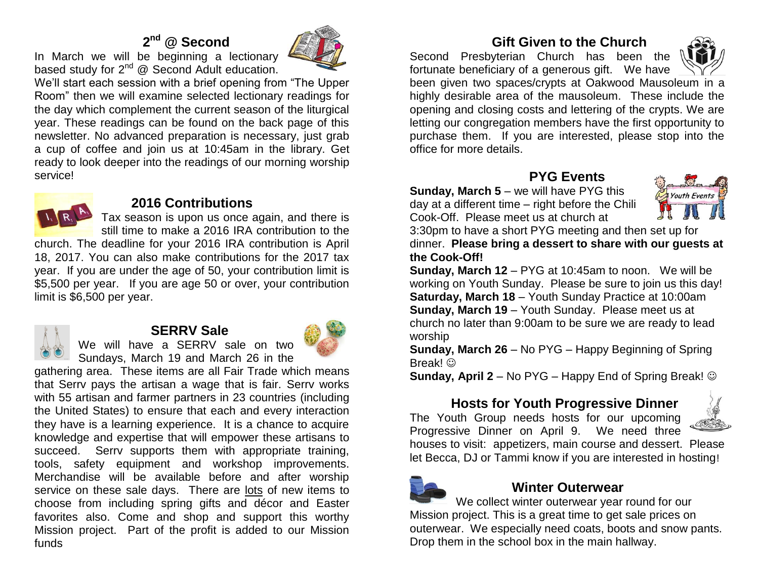#### **2 nd @ Second**



In March we will be beginning a lectionary based study for 2<sup>nd</sup> @ Second Adult education.

We'll start each session with a brief opening from "The Upper Room" then we will examine selected lectionary readings for the day which complement the current season of the liturgical year. These readings can be found on the back page of this newsletter. No advanced preparation is necessary, just grab a cup of coffee and join us at 10:45am in the library. Get ready to look deeper into the readings of our morning worship service!



#### **2016 Contributions**

Tax season is upon us once again, and there is still time to make a 2016 IRA contribution to the

church. The deadline for your 2016 IRA contribution is April 18, 2017. You can also make contributions for the 2017 tax year. If you are under the age of 50, your contribution limit is \$5,500 per year. If you are age 50 or over, your contribution limit is \$6,500 per year.



#### **SERRV Sale**



We will have a SERRV sale on two Sundays, March 19 and March 26 in the

gathering area. These items are all Fair Trade which means that Serrv pays the artisan a wage that is fair. Serrv works with 55 artisan and farmer partners in 23 countries (including the United States) to ensure that each and every interaction they have is a learning experience. It is a chance to acquire knowledge and expertise that will empower these artisans to succeed. Serry supports them with appropriate training, tools, safety equipment and workshop improvements. Merchandise will be available before and after worship service on these sale days. There are lots of new items to choose from including spring gifts and décor and Easter favorites also. Come and shop and support this worthy Mission project. Part of the profit is added to our Mission funds

#### **Gift Given to the Church**

Second Presbyterian Church has been the fortunate beneficiary of a generous gift. We have



been given two spaces/crypts at Oakwood Mausoleum in a highly desirable area of the mausoleum. These include the opening and closing costs and lettering of the crypts. We are letting our congregation members have the first opportunity to purchase them. If you are interested, please stop into the office for more details.

 **PYG Events**

**Sunday, March 5** – we will have PYG this day at a different time – right before the Chili Cook-Off. Please meet us at church at



3:30pm to have a short PYG meeting and then set up for dinner. **Please bring a dessert to share with our guests at the Cook-Off!**

**Sunday, March 12** – PYG at 10:45am to noon. We will be working on Youth Sunday. Please be sure to join us this day! **Saturday, March 18** – Youth Sunday Practice at 10:00am **Sunday, March 19** – Youth Sunday. Please meet us at church no later than 9:00am to be sure we are ready to lead worship

**Sunday, March 26** – No PYG – Happy Beginning of Spring Break! ©

**Sunday, April 2** – No PYG – Happy End of Spring Break!

#### **Hosts for Youth Progressive Dinner**

The Youth Group needs hosts for our upcoming Progressive Dinner on April 9. We need three



houses to visit: appetizers, main course and dessert. Please let Becca, DJ or Tammi know if you are interested in hosting!



#### **Winter Outerwear**

We collect winter outerwear year round for our Mission project. This is a great time to get sale prices on outerwear. We especially need coats, boots and snow pants. Drop them in the school box in the main hallway.